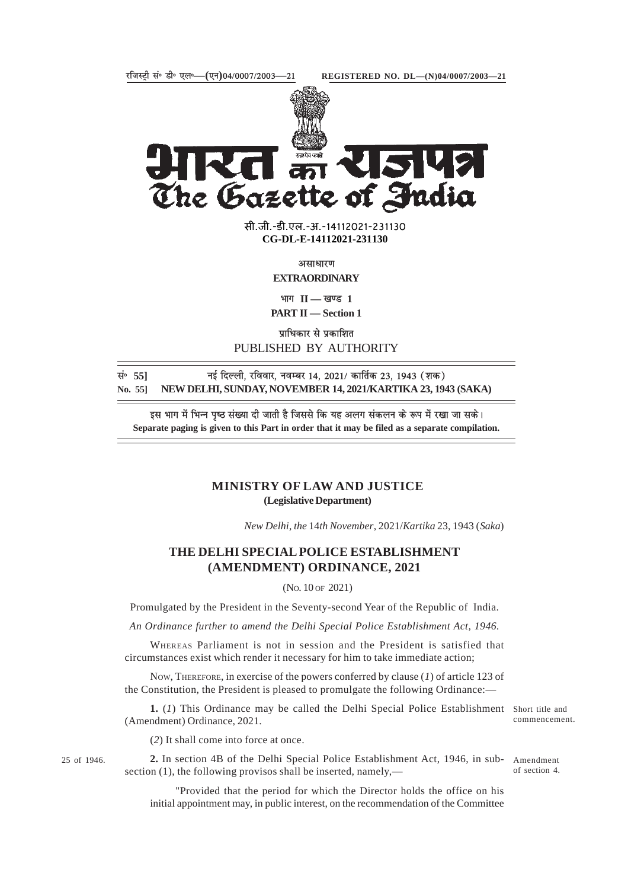

The Gazette of India

**xxxGIDHxxx** सी.जी.-डी.एल.-अ.-14112021-231130 सी.जी.-डी.एल.-अ.-14112021-231130**xxxGIDExxx CG-DL-E-14112021-231130**

असाधारण

**EXTRAORDINARY**

 $\mathbf{H} = \mathbf{H}$  **1** 

**PART II — Section 1**

पाधिकार से प्रकाशित PUBLISHED BY AUTHORITY

**lañ 55] ubZ fnYyh] jfookj] uoEcj 14] 2021@ dkfrZd 23] 1943 ¼'kd½ No. 55] NEW DELHI, SUNDAY, NOVEMBER 14, 2021/KARTIKA 23, 1943 (SAKA)**

इस भाग में भिन्न पृष्ठ संख्या दी जाती है जिससे कि यह अलग संकलन के रूप में रखा जा सके। **Separate paging is given to this Part in order that it may be filed as a separate compilation.**

## **MINISTRY OF LAW AND JUSTICE (Legislative Department)**

*New Delhi, the* 14*th November*, 2021/*Kartika* 23, 1943 (*Saka*)

## **THE DELHI SPECIAL POLICE ESTABLISHMENT (AMENDMENT) ORDINANCE, 2021**

(NO. 10 OF 2021)

Promulgated by the President in the Seventy-second Year of the Republic of India.

*An Ordinance further to amend the Delhi Special Police Establishment Act, 1946.*

WHEREAS Parliament is not in session and the President is satisfied that circumstances exist which render it necessary for him to take immediate action;

NOW, THEREFORE, in exercise of the powers conferred by clause (*1*) of article 123 of the Constitution, the President is pleased to promulgate the following Ordinance:—

1. (1) This Ordinance may be called the Delhi Special Police Establishment Short title and (Amendment) Ordinance, 2021.

commencement.

(*2*) It shall come into force at once.

25 of 1946. **2.** In section 4B of the Delhi Special Police Establishment Act, 1946, in sub- Amendment section (1), the following provisos shall be inserted, namely,—

of section 4.

"Provided that the period for which the Director holds the office on his initial appointment may, in public interest, on the recommendation of the Committee